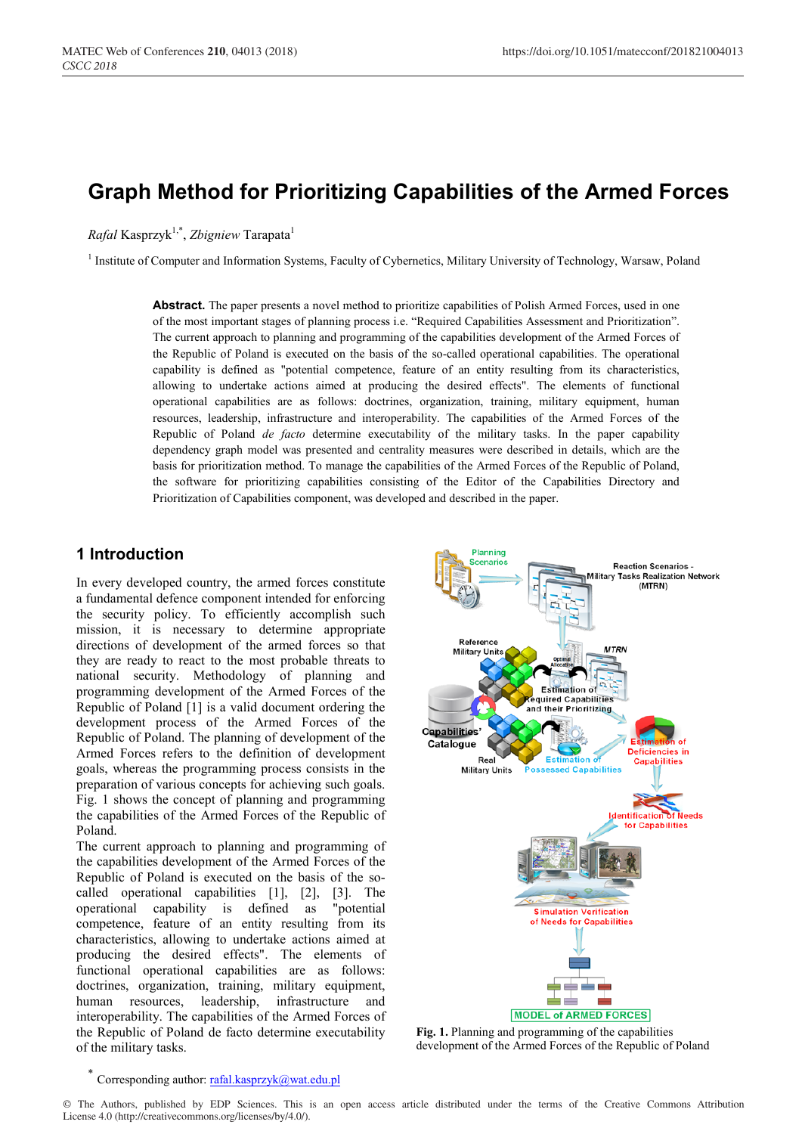# **Graph Method for Prioritizing Capabilities of the Armed Forces**

*Rafal* Kasprzyk1,\* , *Zbigniew* Tarapata<sup>1</sup>

<sup>1</sup> Institute of Computer and Information Systems, Faculty of Cybernetics, Military University of Technology, Warsaw, Poland

**Abstract.** The paper presents a novel method to prioritize capabilities of Polish Armed Forces, used in one of the most important stages of planning process i.e. "Required Capabilities Assessment and Prioritization". The current approach to planning and programming of the capabilities development of the Armed Forces of the Republic of Poland is executed on the basis of the so-called operational capabilities. The operational capability is defined as "potential competence, feature of an entity resulting from its characteristics, allowing to undertake actions aimed at producing the desired effects". The elements of functional operational capabilities are as follows: doctrines, organization, training, military equipment, human resources, leadership, infrastructure and interoperability. The capabilities of the Armed Forces of the Republic of Poland *de facto* determine executability of the military tasks. In the paper capability dependency graph model was presented and centrality measures were described in details, which are the basis for prioritization method. To manage the capabilities of the Armed Forces of the Republic of Poland, the software for prioritizing capabilities consisting of the Editor of the Capabilities Directory and Prioritization of Capabilities component, was developed and described in the paper.

# **1 Introduction**

In every developed country, the armed forces constitute a fundamental defence component intended for enforcing the security policy. To efficiently accomplish such mission, it is necessary to determine appropriate directions of development of the armed forces so that they are ready to react to the most probable threats to national security. Methodology of planning and programming development of the Armed Forces of the Republic of Poland [1] is a valid document ordering the development process of the Armed Forces of the Republic of Poland. The planning of development of the Armed Forces refers to the definition of development goals, whereas the programming process consists in the preparation of various concepts for achieving such goals. Fig. 1 shows the concept of planning and programming the capabilities of the Armed Forces of the Republic of Poland.

The current approach to planning and programming of the capabilities development of the Armed Forces of the Republic of Poland is executed on the basis of the socalled operational capabilities [1], [2], [3]. The operational capability is defined as "potential competence, feature of an entity resulting from its characteristics, allowing to undertake actions aimed at producing the desired effects". The elements of functional operational capabilities are as follows: doctrines, organization, training, military equipment, human resources, leadership, infrastructure and interoperability. The capabilities of the Armed Forces of the Republic of Poland de facto determine executability of the military tasks.



**Fig. 1.** Planning and programming of the capabilities development of the Armed Forces of the Republic of Poland

#### Corresponding author: rafal.kasprzyk@wat.edu.pl

© The Authors, published by EDP Sciences. This is an open access article distributed under the terms of the Creative Commons Attribution License 4.0 (http://creativecommons.org/licenses/by/4.0/).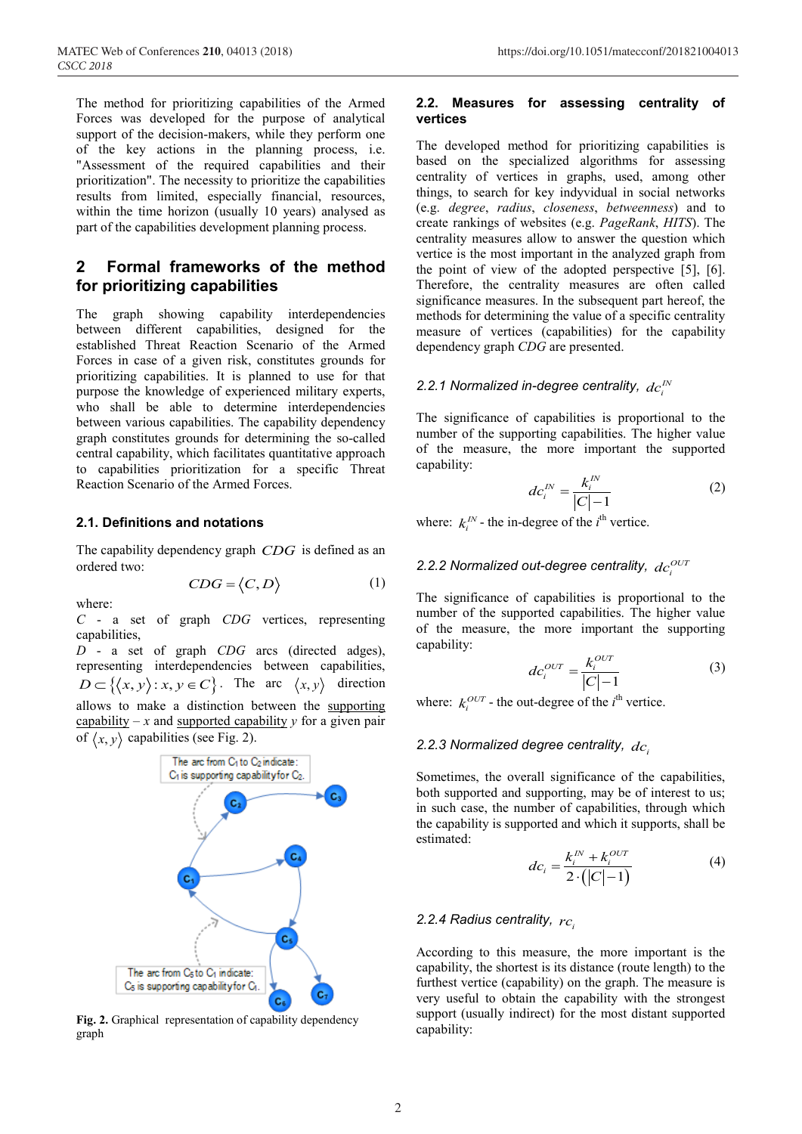The method for prioritizing capabilities of the Armed Forces was developed for the purpose of analytical support of the decision-makers, while they perform one of the key actions in the planning process, i.e. "Assessment of the required capabilities and their prioritization". The necessity to prioritize the capabilities results from limited, especially financial, resources, within the time horizon (usually 10 years) analysed as part of the capabilities development planning process.

# **2 Formal frameworks of the method for prioritizing capabilities**

The graph showing capability interdependencies between different capabilities, designed for the established Threat Reaction Scenario of the Armed Forces in case of a given risk, constitutes grounds for prioritizing capabilities. It is planned to use for that purpose the knowledge of experienced military experts, who shall be able to determine interdependencies between various capabilities. The capability dependency graph constitutes grounds for determining the so-called central capability, which facilitates quantitative approach to capabilities prioritization for a specific Threat Reaction Scenario of the Armed Forces.

# **2.1. Definitions and notations**

The capability dependency graph *CDG* is defined as an ordered two:

$$
CDG = \langle C, D \rangle \tag{1}
$$

where:

*C* - a set of graph *CDG* vertices, representing capabilities,

*D* - a set of graph *CDG* arcs (directed adges), representing interdependencies between capabilities,  $D \subset \{ \langle x, y \rangle : x, y \in C \}$ . The arc  $\langle x, y \rangle$  direction allows to make a distinction between the supporting capability – *x* and supported capability *y* for a given pair of  $\langle x, y \rangle$  capabilities (see Fig. 2).



**Fig. 2.** Graphical representation of capability dependency graph

#### **2.2. Measures for assessing centrality of vertices**

The developed method for prioritizing capabilities is based on the specialized algorithms for assessing centrality of vertices in graphs, used, among other things, to search for key indyvidual in social networks (e.g. *degree*, *radius*, *closeness*, *betweenness*) and to create rankings of websites (e.g. *PageRank*, *HITS*). The centrality measures allow to answer the question which vertice is the most important in the analyzed graph from the point of view of the adopted perspective [5], [6]. Therefore, the centrality measures are often called significance measures. In the subsequent part hereof, the methods for determining the value of a specific centrality measure of vertices (capabilities) for the capability dependency graph *CDG* are presented.

# 2.2.1 Normalized in-degree centrality,  $dc_i^N$

The significance of capabilities is proportional to the number of the supporting capabilities. The higher value of the measure, the more important the supported capability:

$$
dc_i^{IN} = \frac{k_i^{IN}}{|C|-1}
$$
 (2)

where:  $k_i^N$  - the in-degree of the *i*<sup>th</sup> vertice.

### 2.2.2 Normalized out-degree centrality,  $dc<sub>i</sub>^{OUT}$

The significance of capabilities is proportional to the number of the supported capabilities. The higher value of the measure, the more important the supporting capability:

$$
dc_i^{OUT} = \frac{k_i^{OUT}}{|C|-1}
$$
 (3)

where:  $k_i^{OUT}$  - the out-degree of the *i*<sup>th</sup> vertice.

#### *2.2.3 Normalized degree centrality, dci*

Sometimes, the overall significance of the capabilities, both supported and supporting, may be of interest to us; in such case, the number of capabilities, through which the capability is supported and which it supports, shall be estimated:

$$
dc_i = \frac{k_i^N + k_i^{OUT}}{2 \cdot (|C| - 1)}
$$
 (4)

#### *2.2.4 Radius centrality*,  $rc<sub>i</sub>$

According to this measure, the more important is the capability, the shortest is its distance (route length) to the furthest vertice (capability) on the graph. The measure is very useful to obtain the capability with the strongest support (usually indirect) for the most distant supported capability: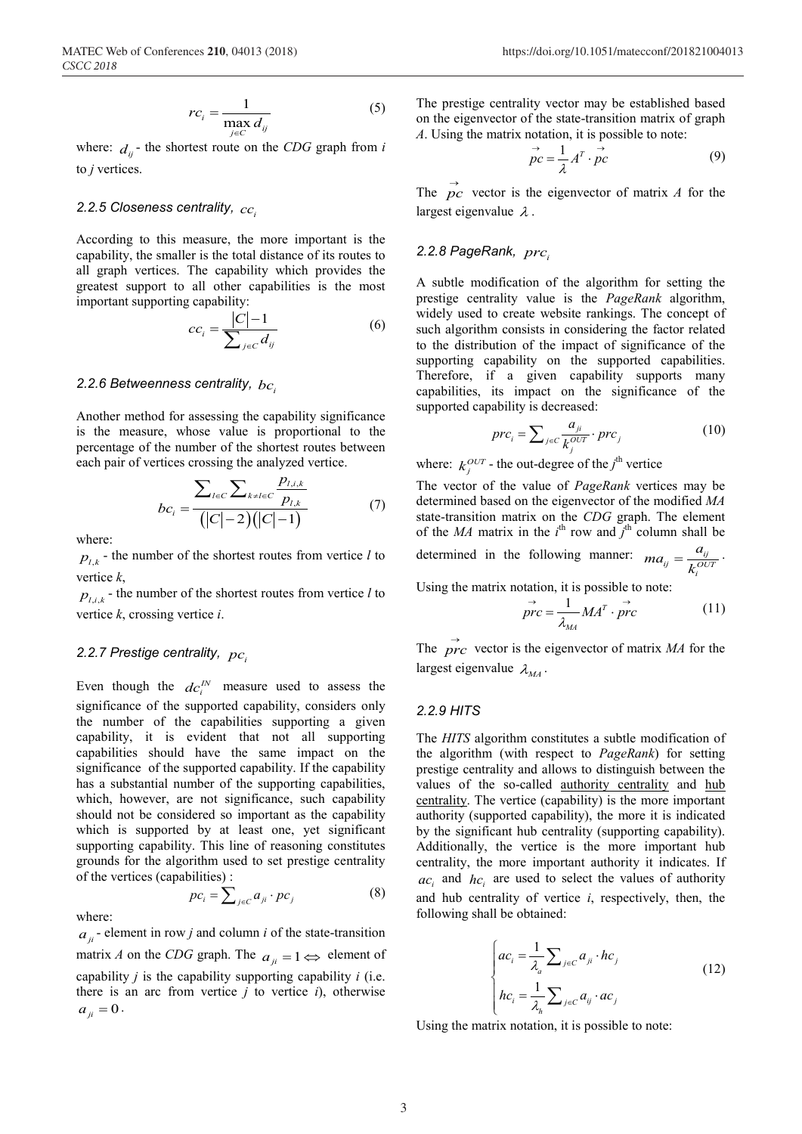$$
rc_i = \frac{1}{\max_{j \in C} d_{ij}} \tag{5}
$$

where:  $d_{ii}$  - the shortest route on the *CDG* graph from *i* to *j* vertices.

#### *2.2.5 Closeness centrality*, *cc.*

According to this measure, the more important is the capability, the smaller is the total distance of its routes to all graph vertices. The capability which provides the greatest support to all other capabilities is the most important supporting capability:

$$
cc_i = \frac{|C|-1}{\sum_{j \in C} d_{ij}} \tag{6}
$$

#### *2.2.6 Betweenness centrality, bci*

Another method for assessing the capability significance is the measure, whose value is proportional to the percentage of the number of the shortest routes between each pair of vertices crossing the analyzed vertice.

$$
bc_{i} = \frac{\sum_{l \in C} \sum_{k \neq l \in C} \frac{p_{l,i,k}}{p_{l,k}}}{(|C|-2)(|C|-1)}
$$
(7)

where:

 $p_{l,k}$  - the number of the shortest routes from vertice *l* to vertice *k*,

 $p_{l,i,k}$  - the number of the shortest routes from vertice *l* to vertice *k*, crossing vertice *i*.

#### *2.2.7 Prestige centrality, pci*

Even though the  $dc_i^N$  measure used to assess the significance of the supported capability, considers only the number of the capabilities supporting a given capability, it is evident that not all supporting capabilities should have the same impact on the significance of the supported capability. If the capability has a substantial number of the supporting capabilities, which, however, are not significance, such capability should not be considered so important as the capability which is supported by at least one, yet significant supporting capability. This line of reasoning constitutes grounds for the algorithm used to set prestige centrality of the vertices (capabilities) :

where:

 $a_{ij}$  - element in row *j* and column *i* of the state-transition matrix *A* on the *CDG* graph. The  $a_{ji} = 1 \Leftrightarrow$  element of capability *j* is the capability supporting capability *i* (i.e. there is an arc from vertice  $j$  to vertice  $i$ ), otherwise  $a_{ii} = 0$ .

 $pc_i = \sum_{j \in C} a_{ji} \cdot pc_j$  (8)

The prestige centrality vector may be established based on the eigenvector of the state-transition matrix of graph *A*. Using the matrix notation, it is possible to note:

$$
\vec{pc} = \frac{1}{\lambda} A^T \cdot \vec{pc}
$$
 (9)

The  $\overrightarrow{pc}$  vector is the eigenvector of matrix *A* for the largest eigenvalue  $\lambda$ .

### *2.2.8 PageRank, prci*

A subtle modification of the algorithm for setting the prestige centrality value is the *PageRank* algorithm, widely used to create website rankings. The concept of such algorithm consists in considering the factor related to the distribution of the impact of significance of the supporting capability on the supported capabilities. Therefore, if a given capability supports many capabilities, its impact on the significance of the supported capability is decreased:

$$
prc_i = \sum_{j \in C} \frac{a_{ji}}{k_j^{OUT}} \cdot prc_j \tag{10}
$$

where:  $k_j^{OUT}$  - the out-degree of the *j*<sup>th</sup> vertice

The vector of the value of *PageRank* vertices may be determined based on the eigenvector of the modified *MA*  state-transition matrix on the *CDG* graph. The element of the *MA* matrix in the  $i^{\text{th}}$  row and  $j^{\text{th}}$  column shall be determined in the following manner:  $ma_{ij} = \frac{a_{ij}}{k_i^{OUT}}$ .

Using the matrix notation, it is possible to note:

$$
\overrightarrow{prc} = \frac{1}{\lambda_{MA}} M A^T \cdot \overrightarrow{prc}
$$
 (11)

The  $\overrightarrow{prc}$  vector is the eigenvector of matrix *MA* for the largest eigenvalue  $\lambda_{\text{M4}}$ .

#### *2.2.9 HITS*

The *HITS* algorithm constitutes a subtle modification of the algorithm (with respect to *PageRank*) for setting prestige centrality and allows to distinguish between the values of the so-called authority centrality and hub centrality. The vertice (capability) is the more important authority (supported capability), the more it is indicated by the significant hub centrality (supporting capability). Additionally, the vertice is the more important hub centrality, the more important authority it indicates. If *aci* and *hci* are used to select the values of authority and hub centrality of vertice *i*, respectively, then, the following shall be obtained:

$$
\begin{cases}\nac_i = \frac{1}{\lambda_a} \sum_{j \in C} a_{ji} \cdot hc_j \\
hc_i = \frac{1}{\lambda_h} \sum_{j \in C} a_{ij} \cdot ac_j\n\end{cases}
$$
\n(12)

Using the matrix notation, it is possible to note: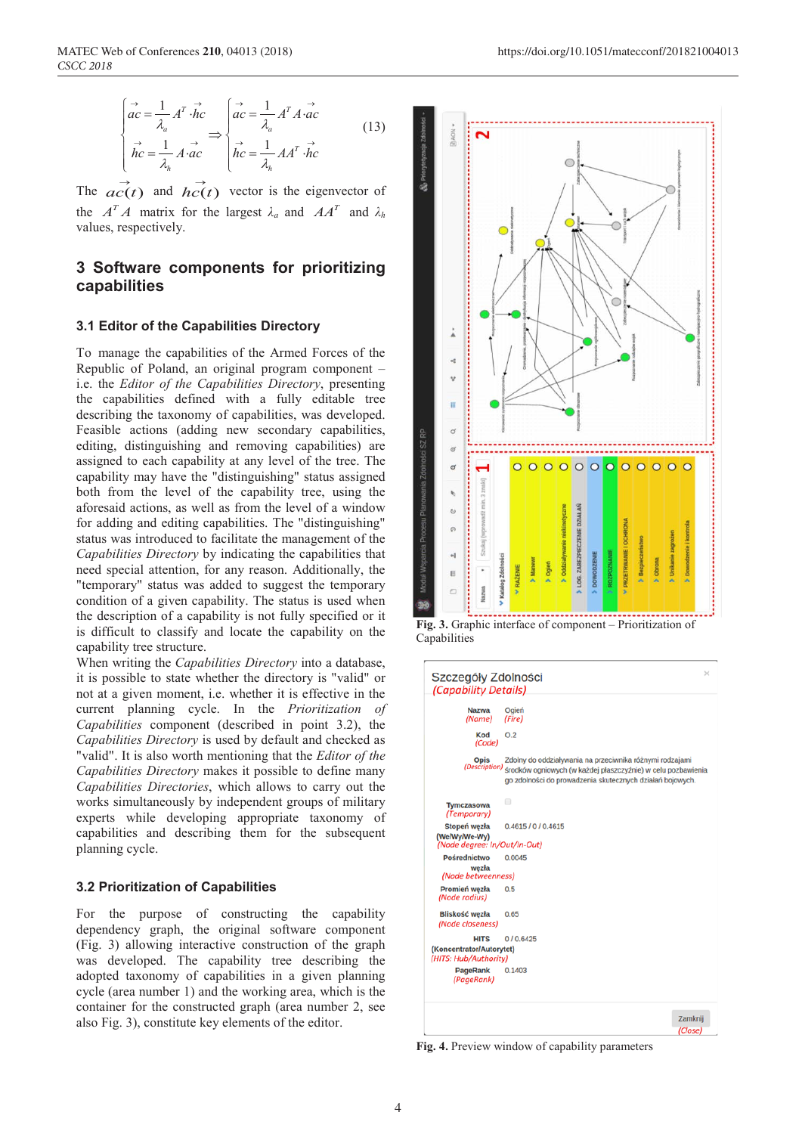The  $\overrightarrow{ac(t)}$  and  $\overrightarrow{hc(t)}$  vector is the eigenvector of the  $A^T A$  matrix for the largest  $\lambda_a$  and  $A A^T$  and  $\lambda_b$ values, respectively.

# **3 Software components for prioritizing capabilities**

#### **3.1 Editor of the Capabilities Directory**

To manage the capabilities of the Armed Forces of the Republic of Poland, an original program component – i.e. the *Editor of the Capabilities Directory*, presenting the capabilities defined with a fully editable tree describing the taxonomy of capabilities, was developed. Feasible actions (adding new secondary capabilities, editing, distinguishing and removing capabilities) are assigned to each capability at any level of the tree. The capability may have the "distinguishing" status assigned both from the level of the capability tree, using the aforesaid actions, as well as from the level of a window for adding and editing capabilities. The "distinguishing" status was introduced to facilitate the management of the *Capabilities Directory* by indicating the capabilities that need special attention, for any reason. Additionally, the "temporary" status was added to suggest the temporary condition of a given capability. The status is used when the description of a capability is not fully specified or it is difficult to classify and locate the capability on the capability tree structure.

When writing the *Capabilities Directory* into a database, it is possible to state whether the directory is "valid" or not at a given moment, i.e. whether it is effective in the current planning cycle. In the *Prioritization of Capabilities* component (described in point 3.2), the *Capabilities Directory* is used by default and checked as "valid". It is also worth mentioning that the *Editor of the Capabilities Directory* makes it possible to define many *Capabilities Directories*, which allows to carry out the works simultaneously by independent groups of military experts while developing appropriate taxonomy of capabilities and describing them for the subsequent planning cycle.

#### **3.2 Prioritization of Capabilities**

For the purpose of constructing the capability dependency graph, the original software component (Fig. 3) allowing interactive construction of the graph was developed. The capability tree describing the adopted taxonomy of capabilities in a given planning cycle (area number 1) and the working area, which is the container for the constructed graph (area number 2, see also Fig. 3), constitute key elements of the editor.



**Fig. 3.** Graphic interface of component – Prioritization of **Capabilities** 



**Fig. 4.** Preview window of capability parameters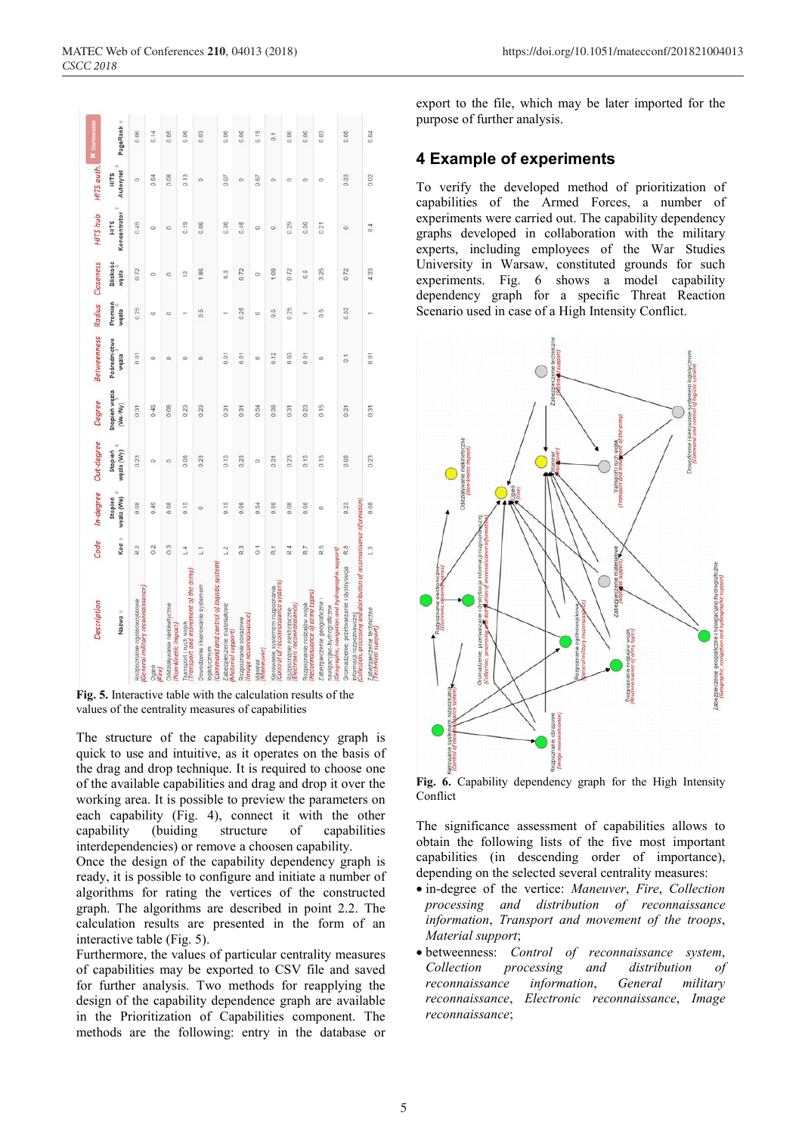| Description                                                                                                                                    | Code           | In-degree             | Out-degree                 | Degree                   | <b>Betweenness</b>    | Radius           | Closeness         | <b>HITS hub</b>      | HITS auth. <b>X</b> Sortowanie |                |
|------------------------------------------------------------------------------------------------------------------------------------------------|----------------|-----------------------|----------------------------|--------------------------|-----------------------|------------------|-------------------|----------------------|--------------------------------|----------------|
| Nazwa ÷                                                                                                                                        | Kod ÷          | węzła (We)<br>Stopien | o<br>węzła (Wy)<br>Stoplen | Stopien wezia<br>[We-Wy] | Posrednictwo<br>cizáw | Promien<br>wezla | Bliskość<br>cizaw | Koncentrator<br>HITS | Autorytet<br>HITS              | PageRank       |
| General military reconnaissance)<br>Rozpoznanie ogólnowojskowe                                                                                 | R <sub>2</sub> | 0.08                  | 0.23                       | 0.31                     | 0.01                  | 025              | 0.72              | 0.45                 | $\circ$                        | 0.06           |
| Ogień<br>(Fire)                                                                                                                                | 0.2            | 0.46                  | $\circ$                    | 0.46                     | $\circ$               | $\circ$          | $\circ$           | Ò                    | 0.64                           | 0.14           |
| Oddziaływanie niekinetyczne<br>'Non-kinetic impact)                                                                                            | $\overline{0}$ | 0.08                  | $\circ$                    | 0.08                     | $\circ$               | $\circ$          | $\circ$           | $\circ$              | 0.08                           | 0.05           |
| Transport and movement of the army)<br>Transport I ruch wojsk                                                                                  | $\overline{1}$ | 0.15                  | 0.08                       | 023                      | $\circ$               |                  | 13                | 0.19                 | 0.13                           | 0.06           |
| Command and control of logistic system<br>Dowodzenie i kierowanie systemem<br>logistycznym                                                     | 5              | 0                     | 0.23                       | 0.23                     | $\circ$               | 0.5              | 1.86              | 0.06                 | $\circ$                        | 0.03           |
| Zabezpieczenie materiałowe<br>Material support)                                                                                                | $\overline{a}$ | 0.15                  | 0.15                       | 0.31                     | 0.01                  | ÷                | 6.5               | 0.36                 | 0.07                           | 0.06           |
| Image reconnaissance<br>Rozpoznanie obrazowe                                                                                                   | R 3            | 0.08                  | 0.23                       | 0.31                     | 0.01                  | 025              | 0.72              | 0.45                 | $\circ$                        | 0.06           |
| Maneuver)<br>Manewr                                                                                                                            | $\overline{0}$ | 0.54                  | $\circ$                    | 0.54                     | $\circ$               | O                | $\circ$           | $\circ$              | 0.67                           | 0.19           |
| Kierowanie systemem rozpoznania<br>(Control of reconnaissance system)                                                                          | R.             | 0.08                  | 0.31                       | 0.38                     | 0.12                  | 0.5              | 1.08              | $\circ$              | $\circ$                        | $\overline{0}$ |
| Electronic reconnaissance.<br>Rozpoznanie elektroniczne                                                                                        | R <sub>4</sub> | 0.08                  | 0.23                       | 0.31                     | 0.03                  | 0.25             | 0.72              | 0.29                 | $\circ$                        | 0.06           |
| Reconnaissance of army types)<br>Rozpoznanie rodzajów wojsk                                                                                    | R7             | 0.08                  | 0.15                       | 023                      | 0.01                  | ÷                | 6.5               | 0.36                 | ö                              | 0.06           |
| Geographic, navigation and hydrographic support)<br>Zabezpieczenie geograficzne i<br>nawigacyjno-hydrograficzne                                | 8              | $\circ$               | 0.15                       | 0.15                     | $\circ$               | 0.5              | 3.25              | 0.21                 | $\circ$                        | 0.03           |
| Collection, processing and distribution of reconnaissance information)<br>Gromadzenie, przetwarzanie i dystrybucja<br>Informacji rozpoznawczej | R <sub>8</sub> | 0.23                  | 0.08                       | 0.31                     | $\overline{0}$        | 0.33             | 0.72              | $\circ$              | 0.33                           | 0.08           |
| Zabezpieczenie techniczne<br>(Technical support)                                                                                               | $\frac{3}{2}$  | 0.08                  | 0.23                       | 0.31                     | 0.01                  |                  | 4.33              | $\frac{4}{2}$        | 0.02                           | 0.04           |

**Fig. 5.** Interactive table with the calculation results of the values of the centrality measures of capabilities

The structure of the capability dependency graph is quick to use and intuitive, as it operates on the basis of the drag and drop technique. It is required to choose one of the available capabilities and drag and drop it over the working area. It is possible to preview the parameters on each capability (Fig. 4), connect it with the other capability (buiding structure of capabilities interdependencies) or remove a choosen capability.

Once the design of the capability dependency graph is ready, it is possible to configure and initiate a number of algorithms for rating the vertices of the constructed graph. The algorithms are described in point 2.2. The calculation results are presented in the form of an interactive table (Fig. 5).

Furthermore, the values of particular centrality measures of capabilities may be exported to CSV file and saved for further analysis. Two methods for reapplying the design of the capability dependence graph are available in the Prioritization of Capabilities component. The methods are the following: entry in the database or export to the file, which may be later imported for the purpose of further analysis.

# **4 Example of experiments**

To verify the developed method of prioritization of capabilities of the Armed Forces, a number of experiments were carried out. The capability dependency graphs developed in collaboration with the military experts, including employees of the War Studies University in Warsaw, constituted grounds for such experiments. Fig. 6 shows a model capability dependency graph for a specific Threat Reaction Scenario used in case of a High Intensity Conflict.



**Fig. 6.** Capability dependency graph for the High Intensity Conflict

The significance assessment of capabilities allows to obtain the following lists of the five most important capabilities (in descending order of importance), depending on the selected several centrality measures:

- in-degree of the vertice: *Maneuver*, *Fire*, *Collection processing and distribution of reconnaissance information*, *Transport and movement of the troops*, *Material support*;
- betweenness: *Control of reconnaissance system*, *Collection processing and distribution of reconnaissance information*, *General military reconnaissance*, *Electronic reconnaissance*, *Image reconnaissance*;